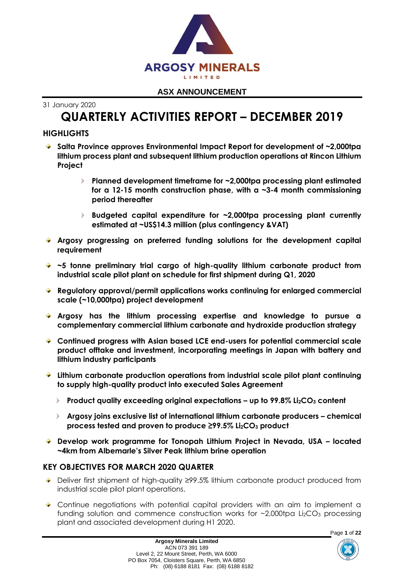

31 January 2020

# **QUARTERLY ACTIVITIES REPORT – DECEMBER 2019**

## **HIGHLIGHTS**

- **Salta Province approves Environmental Impact Report for development of ~2,000tpa lithium process plant and subsequent lithium production operations at Rincon Lithium Project**
	- $\blacktriangleright$ **Planned development timeframe for ~2,000tpa processing plant estimated for a 12-15 month construction phase, with a ~3-4 month commissioning period thereafter**
	- **Budgeted capital expenditure for ~2,000tpa processing plant currently estimated at ~US\$14.3 million (plus contingency &VAT)**
- **Argosy progressing on preferred funding solutions for the development capital requirement**
- **~5 tonne preliminary trial cargo of high-quality lithium carbonate product from industrial scale pilot plant on schedule for first shipment during Q1, 2020**
- **Regulatory approval/permit applications works continuing for enlarged commercial scale (~10,000tpa) project development**
- **Argosy has the lithium processing expertise and knowledge to pursue a complementary commercial lithium carbonate and hydroxide production strategy**
- **Continued progress with Asian based LCE end-users for potential commercial scale product offtake and investment, incorporating meetings in Japan with battery and lithium industry participants**
- **Lithium carbonate production operations from industrial scale pilot plant continuing to supply high-quality product into executed Sales Agreement**
	- **Product quality exceeding original expectations – up to 99.8% Li2CO<sup>3</sup> content**
	- **Argosy joins exclusive list of international lithium carbonate producers – chemical process tested and proven to produce ≥99.5% Li2CO<sup>3</sup> product**
- **Develop work programme for Tonopah Lithium Project in Nevada, USA – located ~4km from Albemarle's Silver Peak lithium brine operation**

## **KEY OBJECTIVES FOR MARCH 2020 QUARTER**

- Deliver first shipment of high-quality ≥99.5% lithium carbonate product produced from industrial scale pilot plant operations.
- Continue negotiations with potential capital providers with an aim to implement a funding solution and commence construction works for  $\sim$ 2,000tpa Li<sub>2</sub>CO<sub>3</sub> processing plant and associated development during H1 2020.



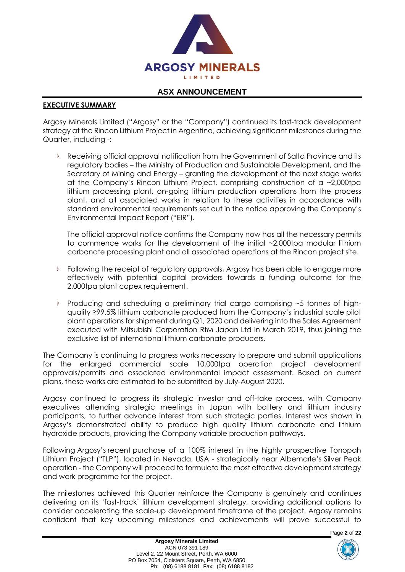

#### **EXECUTIVE SUMMARY**

Argosy Minerals Limited ("Argosy" or the "Company") continued its fast-track development strategy at the Rincon Lithium Project in Argentina, achieving significant milestones during the Quarter, including -:

Receiving official approval notification from the Government of Salta Province and its regulatory bodies – the Ministry of Production and Sustainable Development, and the Secretary of Mining and Energy – granting the development of the next stage works at the Company's Rincon Lithium Project, comprising construction of a ~2,000tpa lithium processing plant, on-going lithium production operations from the process plant, and all associated works in relation to these activities in accordance with standard environmental requirements set out in the notice approving the Company's Environmental Impact Report ("EIR").

The official approval notice confirms the Company now has all the necessary permits to commence works for the development of the initial ~2,000tpa modular lithium carbonate processing plant and all associated operations at the Rincon project site.

- Following the receipt of regulatory approvals, Argosy has been able to engage more effectively with potential capital providers towards a funding outcome for the 2,000tpa plant capex requirement.
- $\mathcal{L}$ Producing and scheduling a preliminary trial cargo comprising ~5 tonnes of highquality ≥99.5% lithium carbonate produced from the Company's industrial scale pilot plant operations for shipment during Q1, 2020 and delivering into the Sales Agreement executed with Mitsubishi Corporation RtM Japan Ltd in March 2019, thus joining the exclusive list of international lithium carbonate producers.

The Company is continuing to progress works necessary to prepare and submit applications for the enlarged commercial scale 10,000tpa operation project development approvals/permits and associated environmental impact assessment. Based on current plans, these works are estimated to be submitted by July-August 2020.

Argosy continued to progress its strategic investor and off-take process, with Company executives attending strategic meetings in Japan with battery and lithium industry participants, to further advance interest from such strategic parties. Interest was shown in Argosy's demonstrated ability to produce high quality lithium carbonate and lithium hydroxide products, providing the Company variable production pathways.

Following Argosy's recent purchase of a 100% interest in the highly prospective Tonopah Lithium Project ("TLP"), located in Nevada, USA - strategically near Albemarle's Silver Peak operation - the Company will proceed to formulate the most effective development strategy and work programme for the project.

The milestones achieved this Quarter reinforce the Company is genuinely and continues delivering on its 'fast-track' lithium development strategy, providing additional options to consider accelerating the scale-up development timeframe of the project. Argosy remains confident that key upcoming milestones and achievements will prove successful to

Page **2** of **22**

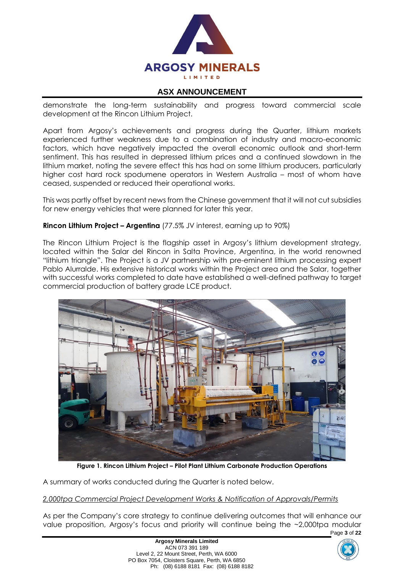

demonstrate the long-term sustainability and progress toward commercial scale development at the Rincon Lithium Project.

Apart from Argosy's achievements and progress during the Quarter, lithium markets experienced further weakness due to a combination of industry and macro-economic factors, which have negatively impacted the overall economic outlook and short-term sentiment. This has resulted in depressed lithium prices and a continued slowdown in the lithium market, noting the severe effect this has had on some lithium producers, particularly higher cost hard rock spodumene operators in Western Australia – most of whom have ceased, suspended or reduced their operational works.

This was partly offset by recent news from the Chinese government that it will not cut subsidies for new energy vehicles that were planned for later this year.

#### **Rincon Lithium Project – Argentina** (77.5% JV interest, earning up to 90%)

The Rincon Lithium Project is the flagship asset in Argosy's lithium development strategy, located within the Salar del Rincon in Salta Province, Argentina, in the world renowned "lithium triangle". The Project is a JV partnership with pre-eminent lithium processing expert Pablo Alurralde. His extensive historical works within the Project area and the Salar, together with successful works completed to date have established a well-defined pathway to target commercial production of battery grade LCE product.



**Figure 1. Rincon Lithium Project – Pilot Plant Lithium Carbonate Production Operations**

A summary of works conducted during the Quarter is noted below.

*2,000tpa Commercial Project Development Works & Notification of Approvals/Permits*

Page **3** of **22** As per the Company's core strategy to continue delivering outcomes that will enhance our value proposition, Argosy's focus and priority will continue being the ~2,000tpa modular

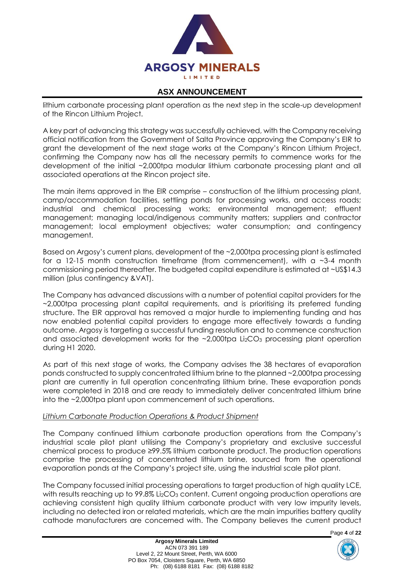

lithium carbonate processing plant operation as the next step in the scale-up development of the Rincon Lithium Project.

A key part of advancing this strategy was successfully achieved, with the Company receiving official notification from the Government of Salta Province approving the Company's EIR to grant the development of the next stage works at the Company's Rincon Lithium Project, confirming the Company now has all the necessary permits to commence works for the development of the initial ~2,000tpa modular lithium carbonate processing plant and all associated operations at the Rincon project site.

The main items approved in the EIR comprise – construction of the lithium processing plant, camp/accommodation facilities, settling ponds for processing works, and access roads; industrial and chemical processing works; environmental management; effluent management; managing local/indigenous community matters; suppliers and contractor management; local employment objectives; water consumption; and contingency management.

Based on Argosy's current plans, development of the ~2,000tpa processing plant is estimated for a 12-15 month construction timeframe (from commencement), with a  $\sim$ 3-4 month commissioning period thereafter. The budgeted capital expenditure is estimated at ~US\$14.3 million (plus contingency &VAT).

The Company has advanced discussions with a number of potential capital providers for the ~2,000tpa processing plant capital requirements, and is prioritising its preferred funding structure. The EIR approval has removed a major hurdle to implementing funding and has now enabled potential capital providers to engage more effectively towards a funding outcome. Argosy is targeting a successful funding resolution and to commence construction and associated development works for the  $\sim$ 2,000tpa Li<sub>2</sub>CO<sub>3</sub> processing plant operation during H1 2020.

As part of this next stage of works, the Company advises the 38 hectares of evaporation ponds constructed to supply concentrated lithium brine to the planned ~2,000tpa processing plant are currently in full operation concentrating lithium brine. These evaporation ponds were completed in 2018 and are ready to immediately deliver concentrated lithium brine into the ~2,000tpa plant upon commencement of such operations.

#### *Lithium Carbonate Production Operations & Product Shipment*

The Company continued lithium carbonate production operations from the Company's industrial scale pilot plant utilising the Company's proprietary and exclusive successful chemical process to produce ≥99.5% lithium carbonate product. The production operations comprise the processing of concentrated lithium brine, sourced from the operational evaporation ponds at the Company's project site, using the industrial scale pilot plant.

The Company focussed initial processing operations to target production of high quality LCE, with results reaching up to 99.8% Li<sub>2</sub>CO<sub>3</sub> content. Current ongoing production operations are achieving consistent high quality lithium carbonate product with very low impurity levels, including no detected iron or related materials, which are the main impurities battery quality cathode manufacturers are concerned with. The Company believes the current product

Page **4** of **22**

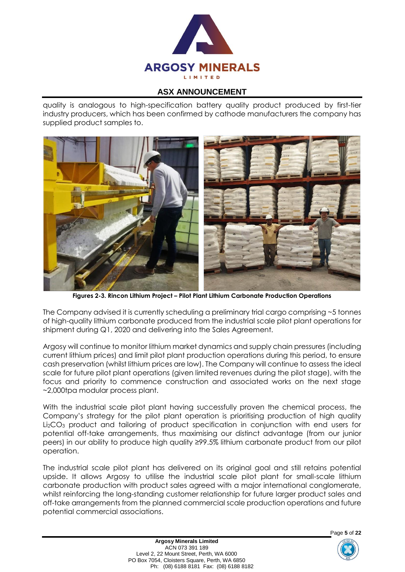

quality is analogous to high-specification battery quality product produced by first-tier industry producers, which has been confirmed by cathode manufacturers the company has supplied product samples to.



**Figures 2-3. Rincon Lithium Project – Pilot Plant Lithium Carbonate Production Operations**

The Company advised it is currently scheduling a preliminary trial cargo comprising ~5 tonnes of high-quality lithium carbonate produced from the industrial scale pilot plant operations for shipment during Q1, 2020 and delivering into the Sales Agreement.

Argosy will continue to monitor lithium market dynamics and supply chain pressures (including current lithium prices) and limit pilot plant production operations during this period, to ensure cash preservation (whilst lithium prices are low). The Company will continue to assess the ideal scale for future pilot plant operations (given limited revenues during the pilot stage), with the focus and priority to commence construction and associated works on the next stage ~2,000tpa modular process plant.

With the industrial scale pilot plant having successfully proven the chemical process, the Company's strategy for the pilot plant operation is prioritising production of high quality Li2CO<sup>3</sup> product and tailoring of product specification in conjunction with end users for potential off-take arrangements, thus maximising our distinct advantage (from our junior peers) in our ability to produce high quality ≥99.5% lithium carbonate product from our pilot operation.

The industrial scale pilot plant has delivered on its original goal and still retains potential upside. It allows Argosy to utilise the industrial scale pilot plant for small-scale lithium carbonate production with product sales agreed with a major international conglomerate, whilst reinforcing the long-standing customer relationship for future larger product sales and off-take arrangements from the planned commercial scale production operations and future potential commercial associations.



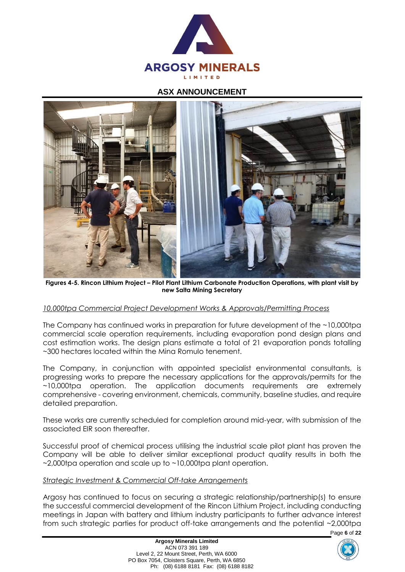



**Figures 4-5. Rincon Lithium Project – Pilot Plant Lithium Carbonate Production Operations, with plant visit by new Salta Mining Secretary**

#### *10,000tpa Commercial Project Development Works & Approvals/Permitting Process*

The Company has continued works in preparation for future development of the ~10,000tpa commercial scale operation requirements, including evaporation pond design plans and cost estimation works. The design plans estimate a total of 21 evaporation ponds totalling ~300 hectares located within the Mina Romulo tenement.

The Company, in conjunction with appointed specialist environmental consultants, is progressing works to prepare the necessary applications for the approvals/permits for the ~10,000tpa operation. The application documents requirements are extremely comprehensive - covering environment, chemicals, community, baseline studies, and require detailed preparation.

These works are currently scheduled for completion around mid-year, with submission of the associated EIR soon thereafter.

Successful proof of chemical process utilising the industrial scale pilot plant has proven the Company will be able to deliver similar exceptional product quality results in both the ~2,000tpa operation and scale up to ~10,000tpa plant operation.

#### *Strategic Investment & Commercial Off-take Arrangements*

Argosy has continued to focus on securing a strategic relationship/partnership(s) to ensure the successful commercial development of the Rincon Lithium Project, including conducting meetings in Japan with battery and lithium industry participants to further advance interest from such strategic parties for product off-take arrangements and the potential ~2,000tpa

Page **6** of **22**

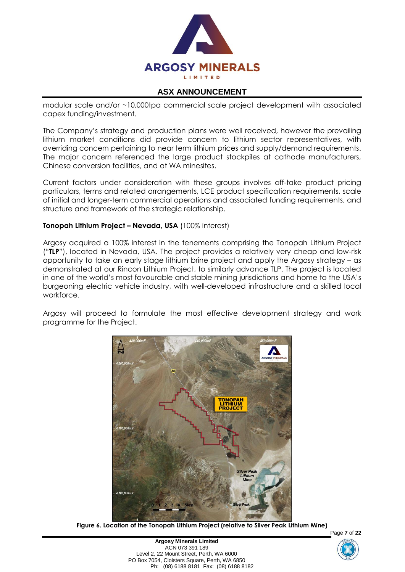

modular scale and/or ~10,000tpa commercial scale project development with associated capex funding/investment.

The Company's strategy and production plans were well received, however the prevailing lithium market conditions did provide concern to lithium sector representatives, with overriding concern pertaining to near term lithium prices and supply/demand requirements. The major concern referenced the large product stockpiles at cathode manufacturers, Chinese conversion facilities, and at WA minesites.

Current factors under consideration with these groups involves off-take product pricing particulars, terms and related arrangements, LCE product specification requirements, scale of initial and longer-term commercial operations and associated funding requirements, and structure and framework of the strategic relationship.

#### **Tonopah Lithium Project – Nevada, USA** (100% interest)

Argosy acquired a 100% interest in the tenements comprising the Tonopah Lithium Project ("**TLP**"), located in Nevada, USA. The project provides a relatively very cheap and low-risk opportunity to take an early stage lithium brine project and apply the Argosy strategy – as demonstrated at our Rincon Lithium Project, to similarly advance TLP. The project is located in one of the world's most favourable and stable mining jurisdictions and home to the USA's burgeoning electric vehicle industry, with well-developed infrastructure and a skilled local workforce.

Argosy will proceed to formulate the most effective development strategy and work programme for the Project.



**Figure 6. Location of the Tonopah Lithium Project (relative to Silver Peak Lithium Mine)**



Page **7** of **22**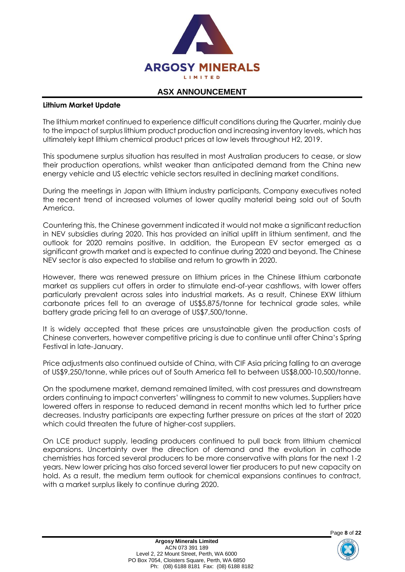

#### **Lithium Market Update**

The lithium market continued to experience difficult conditions during the Quarter, mainly due to the impact of surplus lithium product production and increasing inventory levels, which has ultimately kept lithium chemical product prices at low levels throughout H2, 2019.

This spodumene surplus situation has resulted in most Australian producers to cease, or slow their production operations, whilst weaker than anticipated demand from the China new energy vehicle and US electric vehicle sectors resulted in declining market conditions.

During the meetings in Japan with lithium industry participants, Company executives noted the recent trend of increased volumes of lower quality material being sold out of South America.

Countering this, the Chinese government indicated it would not make a significant reduction in NEV subsidies during 2020. This has provided an initial uplift in lithium sentiment, and the outlook for 2020 remains positive. In addition, the European EV sector emerged as a significant growth market and is expected to continue during 2020 and beyond. The Chinese NEV sector is also expected to stabilise and return to growth in 2020.

However, there was renewed pressure on lithium prices in the Chinese lithium carbonate market as suppliers cut offers in order to stimulate end-of-year cashflows, with lower offers particularly prevalent across sales into industrial markets. As a result, Chinese EXW lithium carbonate prices fell to an average of US\$5,875/tonne for technical grade sales, while battery grade pricing fell to an average of US\$7,500/tonne.

It is widely accepted that these prices are unsustainable given the production costs of Chinese converters, however competitive pricing is due to continue until after China's Spring Festival in late-January.

Price adjustments also continued outside of China, with CIF Asia pricing falling to an average of US\$9,250/tonne, while prices out of South America fell to between US\$8,000-10,500/tonne.

On the spodumene market, demand remained limited, with cost pressures and downstream orders continuing to impact converters' willingness to commit to new volumes. Suppliers have lowered offers in response to reduced demand in recent months which led to further price decreases. Industry participants are expecting further pressure on prices at the start of 2020 which could threaten the future of higher-cost suppliers.

On LCE product supply, leading producers continued to pull back from lithium chemical expansions. Uncertainty over the direction of demand and the evolution in cathode chemistries has forced several producers to be more conservative with plans for the next 1-2 years. New lower pricing has also forced several lower tier producers to put new capacity on hold. As a result, the medium term outlook for chemical expansions continues to contract, with a market surplus likely to continue during 2020.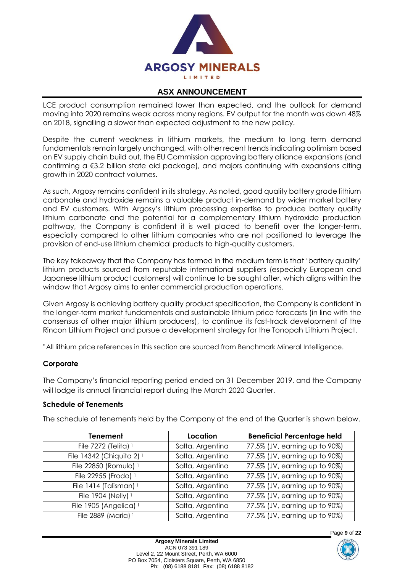

LCE product consumption remained lower than expected, and the outlook for demand moving into 2020 remains weak across many regions. EV output for the month was down 48% on 2018, signalling a slower than expected adjustment to the new policy.

Despite the current weakness in lithium markets, the medium to long term demand fundamentals remain largely unchanged, with other recent trends indicating optimism based on EV supply chain build out, the EU Commission approving battery alliance expansions (and confirming a €3.2 billion state aid package), and majors continuing with expansions citing growth in 2020 contract volumes.

As such, Argosy remains confident in its strategy. As noted, good quality battery grade lithium carbonate and hydroxide remains a valuable product in-demand by wider market battery and EV customers. With Argosy's lithium processing expertise to produce battery quality lithium carbonate and the potential for a complementary lithium hydroxide production pathway, the Company is confident it is well placed to benefit over the longer-term, especially compared to other lithium companies who are not positioned to leverage the provision of end-use lithium chemical products to high-quality customers.

The key takeaway that the Company has formed in the medium term is that 'battery quality' lithium products sourced from reputable international suppliers (especially European and Japanese lithium product customers) will continue to be sought after, which aligns within the window that Argosy aims to enter commercial production operations.

Given Argosy is achieving battery quality product specification, the Company is confident in the longer-term market fundamentals and sustainable lithium price forecasts (in line with the consensus of other major lithium producers), to continue its fast-track development of the Rincon Lithium Project and pursue a development strategy for the Tonopah Lithium Project.

\* All lithium price references in this section are sourced from Benchmark Mineral Intelligence.

#### **Corporate**

The Company's financial reporting period ended on 31 December 2019, and the Company will lodge its annual financial report during the March 2020 Quarter.

#### **Schedule of Tenements**

The schedule of tenements held by the Company at the end of the Quarter is shown below.

| Tenement                             | Location         | <b>Beneficial Percentage held</b> |
|--------------------------------------|------------------|-----------------------------------|
| File 7272 (Telita) <sup>1</sup>      | Salta, Argentina | 77.5% (JV, earning up to 90%)     |
| File 14342 (Chiquita 2) <sup>1</sup> | Salta, Argentina | 77.5% (JV, earning up to 90%)     |
| File 22850 (Romulo) 1                | Salta, Argentina | 77.5% (JV, earning up to 90%)     |
| File 22955 (Frodo) 1                 | Salta, Argentina | 77.5% (JV, earning up to 90%)     |
| File 1414 (Talisman) <sup>1</sup>    | Salta, Argentina | 77.5% (JV, earning up to 90%)     |
| File 1904 (Nelly) 1                  | Salta, Argentina | 77.5% (JV, earning up to 90%)     |
| File 1905 (Angelica) <sup>1</sup>    | Salta, Argentina | 77.5% (JV, earning up to 90%)     |
| File 2889 (Maria) 1                  | Salta, Argentina | 77.5% (JV, earning up to 90%)     |



Page **9** of **22**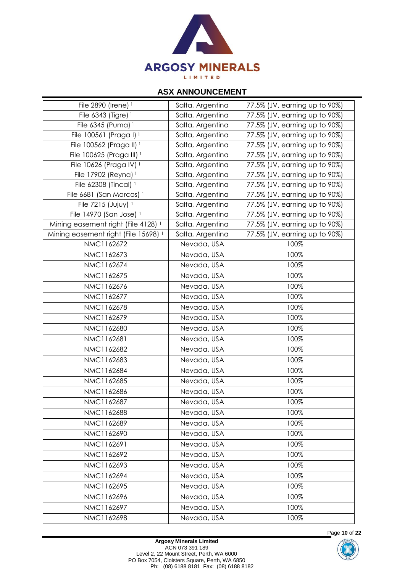

| File 2890 (Irene) 1                             | Salta, Argentina | 77.5% (JV, earning up to 90%) |
|-------------------------------------------------|------------------|-------------------------------|
| File 6343 (Tigre) 1                             | Salta, Argentina | 77.5% (JV, earning up to 90%) |
| File 6345 (Puma) <sup>1</sup>                   | Salta, Argentina | 77.5% (JV, earning up to 90%) |
| File 100561 (Praga I) <sup>1</sup>              | Salta, Argentina | 77.5% (JV, earning up to 90%) |
| File 100562 (Praga II) <sup>1</sup>             | Salta, Argentina | 77.5% (JV, earning up to 90%) |
| File 100625 (Praga III) <sup>1</sup>            | Salta, Argentina | 77.5% (JV, earning up to 90%) |
| File 10626 (Praga IV) 1                         | Salta, Argentina | 77.5% (JV, earning up to 90%) |
| File 17902 (Reyna) 1                            | Salta, Argentina | 77.5% (JV, earning up to 90%) |
| File 62308 (Tincal) 1                           | Salta, Argentina | 77.5% (JV, earning up to 90%) |
| File 6681 (San Marcos) <sup>1</sup>             | Salta, Argentina | 77.5% (JV, earning up to 90%) |
| File 7215 (Jujuy) 1                             | Salta, Argentina | 77.5% (JV, earning up to 90%) |
| File 14970 (San Jose) 1                         | Salta, Argentina | 77.5% (JV, earning up to 90%) |
| Mining easement right (File 4128) <sup>1</sup>  | Salta, Argentina | 77.5% (JV, earning up to 90%) |
| Mining easement right (File 15698) <sup>1</sup> | Salta, Argentina | 77.5% (JV, earning up to 90%) |
| NMC1162672                                      | Nevada, USA      | 100%                          |
| NMC1162673                                      | Nevada, USA      | 100%                          |
| NMC1162674                                      | Nevada, USA      | 100%                          |
| NMC1162675                                      | Nevada, USA      | 100%                          |
| NMC1162676                                      | Nevada, USA      | 100%                          |
| NMC1162677                                      | Nevada, USA      | 100%                          |
| NMC1162678                                      | Nevada, USA      | 100%                          |
| NMC1162679                                      | Nevada, USA      | 100%                          |
| NMC1162680                                      | Nevada, USA      | 100%                          |
| NMC1162681                                      | Nevada, USA      | 100%                          |
| NMC1162682                                      | Nevada, USA      | 100%                          |
| NMC1162683                                      | Nevada, USA      | 100%                          |
| NMC1162684                                      | Nevada, USA      | 100%                          |
| NMC1162685                                      | Nevada, USA      | 100%                          |
| NMC1162686                                      | Nevada, USA      | 100%                          |
| NMC1162687                                      | Nevada, USA      | 100%                          |
| NMC1162688                                      | Nevada, USA      | 100%                          |
| NMC1162689                                      | Nevada, USA      | 100%                          |
| NMC1162690                                      | Nevada, USA      | 100%                          |
| NMC1162691                                      | Nevada, USA      | 100%                          |
| NMC1162692                                      | Nevada, USA      | 100%                          |
| NMC1162693                                      | Nevada, USA      | 100%                          |
| NMC1162694                                      | Nevada, USA      | 100%                          |
| NMC1162695                                      |                  |                               |
|                                                 | Nevada, USA      | 100%                          |
| NMC1162696                                      | Nevada, USA      | 100%                          |
| NMC1162697                                      | Nevada, USA      | 100%                          |
| NMC1162698                                      | Nevada, USA      | 100%                          |



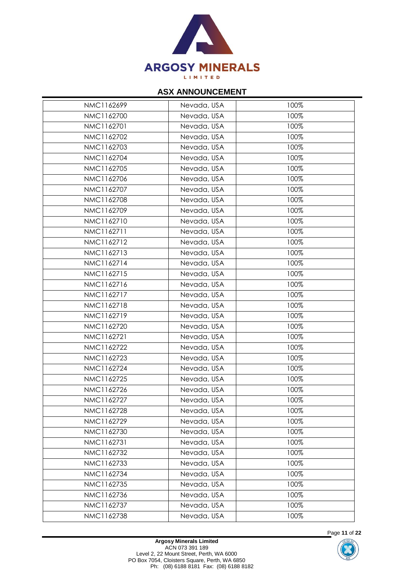

| NMC1162699 | Nevada, USA | 100% |
|------------|-------------|------|
| NMC1162700 | Nevada, USA | 100% |
| NMC1162701 | Nevada, USA | 100% |
| NMC1162702 | Nevada, USA | 100% |
| NMC1162703 | Nevada, USA | 100% |
| NMC1162704 | Nevada, USA | 100% |
| NMC1162705 | Nevada, USA | 100% |
| NMC1162706 | Nevada, USA | 100% |
| NMC1162707 | Nevada, USA | 100% |
| NMC1162708 | Nevada, USA | 100% |
| NMC1162709 | Nevada, USA | 100% |
| NMC1162710 | Nevada, USA | 100% |
| NMC1162711 | Nevada, USA | 100% |
| NMC1162712 | Nevada, USA | 100% |
| NMC1162713 | Nevada, USA | 100% |
| NMC1162714 | Nevada, USA | 100% |
| NMC1162715 | Nevada, USA | 100% |
| NMC1162716 | Nevada, USA | 100% |
| NMC1162717 | Nevada, USA | 100% |
| NMC1162718 | Nevada, USA | 100% |
| NMC1162719 | Nevada, USA | 100% |
| NMC1162720 | Nevada, USA | 100% |
| NMC1162721 | Nevada, USA | 100% |
| NMC1162722 | Nevada, USA | 100% |
| NMC1162723 | Nevada, USA | 100% |
| NMC1162724 | Nevada, USA | 100% |
| NMC1162725 | Nevada, USA | 100% |
| NMC1162726 | Nevada, USA | 100% |
| NMC1162727 | Nevada, USA | 100% |
| NMC1162728 | Nevada, USA | 100% |
| NMC1162729 | Nevada, USA | 100% |
| NMC1162730 | Nevada, USA | 100% |
| NMC1162731 | Nevada, USA | 100% |
| NMC1162732 | Nevada, USA | 100% |
| NMC1162733 | Nevada, USA | 100% |
| NMC1162734 | Nevada, USA | 100% |
| NMC1162735 | Nevada, USA | 100% |
| NMC1162736 | Nevada, USA | 100% |
| NMC1162737 | Nevada, USA | 100% |
| NMC1162738 | Nevada, USA | 100% |
|            |             |      |



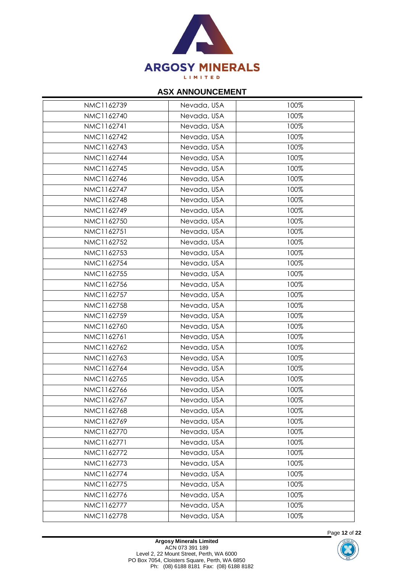

| NMC1162739 | Nevada, USA | 100% |
|------------|-------------|------|
| NMC1162740 | Nevada, USA | 100% |
| NMC1162741 | Nevada, USA | 100% |
| NMC1162742 | Nevada, USA | 100% |
| NMC1162743 | Nevada, USA | 100% |
| NMC1162744 | Nevada, USA | 100% |
| NMC1162745 | Nevada, USA | 100% |
| NMC1162746 | Nevada, USA | 100% |
| NMC1162747 | Nevada, USA | 100% |
| NMC1162748 | Nevada, USA | 100% |
| NMC1162749 | Nevada, USA | 100% |
| NMC1162750 | Nevada, USA | 100% |
| NMC1162751 | Nevada, USA | 100% |
| NMC1162752 | Nevada, USA | 100% |
| NMC1162753 | Nevada, USA | 100% |
| NMC1162754 | Nevada, USA | 100% |
| NMC1162755 | Nevada, USA | 100% |
| NMC1162756 | Nevada, USA | 100% |
| NMC1162757 | Nevada, USA | 100% |
| NMC1162758 | Nevada, USA | 100% |
| NMC1162759 | Nevada, USA | 100% |
| NMC1162760 | Nevada, USA | 100% |
| NMC1162761 | Nevada, USA | 100% |
| NMC1162762 | Nevada, USA | 100% |
| NMC1162763 | Nevada, USA | 100% |
| NMC1162764 | Nevada, USA | 100% |
| NMC1162765 | Nevada, USA | 100% |
| NMC1162766 | Nevada, USA | 100% |
| NMC1162767 | Nevada, USA | 100% |
| NMC1162768 | Nevada, USA | 100% |
| NMC1162769 | Nevada, USA | 100% |
| NMC1162770 | Nevada, USA | 100% |
| NMC1162771 | Nevada, USA | 100% |
| NMC1162772 | Nevada, USA | 100% |
| NMC1162773 | Nevada, USA | 100% |
| NMC1162774 | Nevada, USA | 100% |
| NMC1162775 | Nevada, USA | 100% |
| NMC1162776 | Nevada, USA | 100% |
| NMC1162777 | Nevada, USA | 100% |
| NMC1162778 | Nevada, USA | 100% |



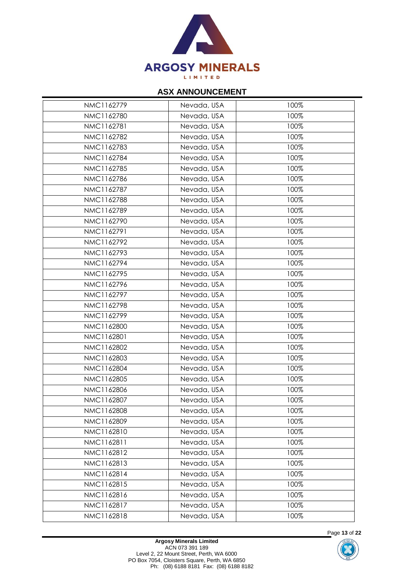

| NMC1162779 | Nevada, USA | 100% |
|------------|-------------|------|
| NMC1162780 | Nevada, USA | 100% |
| NMC1162781 | Nevada, USA | 100% |
| NMC1162782 | Nevada, USA | 100% |
| NMC1162783 | Nevada, USA | 100% |
| NMC1162784 | Nevada, USA | 100% |
| NMC1162785 | Nevada, USA | 100% |
| NMC1162786 | Nevada, USA | 100% |
| NMC1162787 | Nevada, USA | 100% |
| NMC1162788 | Nevada, USA | 100% |
| NMC1162789 | Nevada, USA | 100% |
| NMC1162790 | Nevada, USA | 100% |
| NMC1162791 | Nevada, USA | 100% |
| NMC1162792 | Nevada, USA | 100% |
| NMC1162793 | Nevada, USA | 100% |
| NMC1162794 | Nevada, USA | 100% |
| NMC1162795 | Nevada, USA | 100% |
| NMC1162796 | Nevada, USA | 100% |
| NMC1162797 | Nevada, USA | 100% |
| NMC1162798 | Nevada, USA | 100% |
| NMC1162799 | Nevada, USA | 100% |
| NMC1162800 | Nevada, USA | 100% |
| NMC1162801 | Nevada, USA | 100% |
| NMC1162802 | Nevada, USA | 100% |
| NMC1162803 | Nevada, USA | 100% |
| NMC1162804 | Nevada, USA | 100% |
| NMC1162805 | Nevada, USA | 100% |
| NMC1162806 | Nevada, USA | 100% |
| NMC1162807 | Nevada, USA | 100% |
| NMC1162808 | Nevada, USA | 100% |
| NMC1162809 | Nevada, USA | 100% |
| NMC1162810 | Nevada, USA | 100% |
| NMC1162811 | Nevada, USA | 100% |
| NMC1162812 | Nevada, USA | 100% |
| NMC1162813 | Nevada, USA | 100% |
| NMC1162814 | Nevada, USA | 100% |
| NMC1162815 | Nevada, USA | 100% |
| NMC1162816 | Nevada, USA | 100% |
| NMC1162817 | Nevada, USA | 100% |
| NMC1162818 | Nevada, USA | 100% |



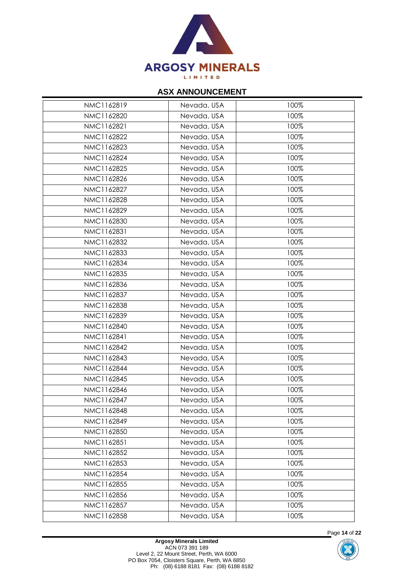

| NMC1162819 | Nevada, USA | 100% |
|------------|-------------|------|
| NMC1162820 | Nevada, USA | 100% |
| NMC1162821 | Nevada, USA | 100% |
| NMC1162822 | Nevada, USA | 100% |
| NMC1162823 | Nevada, USA | 100% |
| NMC1162824 | Nevada, USA | 100% |
| NMC1162825 | Nevada, USA | 100% |
| NMC1162826 | Nevada, USA | 100% |
| NMC1162827 | Nevada, USA | 100% |
| NMC1162828 | Nevada, USA | 100% |
| NMC1162829 | Nevada, USA | 100% |
| NMC1162830 | Nevada, USA | 100% |
| NMC1162831 | Nevada, USA | 100% |
| NMC1162832 | Nevada, USA | 100% |
| NMC1162833 | Nevada, USA | 100% |
| NMC1162834 | Nevada, USA | 100% |
| NMC1162835 | Nevada, USA | 100% |
| NMC1162836 | Nevada, USA | 100% |
| NMC1162837 | Nevada, USA | 100% |
| NMC1162838 | Nevada, USA | 100% |
| NMC1162839 | Nevada, USA | 100% |
| NMC1162840 | Nevada, USA | 100% |
| NMC1162841 | Nevada, USA | 100% |
| NMC1162842 | Nevada, USA | 100% |
| NMC1162843 | Nevada, USA | 100% |
| NMC1162844 | Nevada, USA | 100% |
| NMC1162845 | Nevada, USA | 100% |
| NMC1162846 | Nevada, USA | 100% |
| NMC1162847 | Nevada, USA | 100% |
| NMC1162848 | Nevada, USA | 100% |
| NMC1162849 | Nevada, USA | 100% |
| NMC1162850 | Nevada, USA | 100% |
| NMC1162851 | Nevada, USA | 100% |
| NMC1162852 | Nevada, USA | 100% |
| NMC1162853 | Nevada, USA | 100% |
| NMC1162854 | Nevada, USA | 100% |
| NMC1162855 | Nevada, USA | 100% |
| NMC1162856 | Nevada, USA | 100% |
| NMC1162857 | Nevada, USA | 100% |
| NMC1162858 | Nevada, USA | 100% |
|            |             |      |



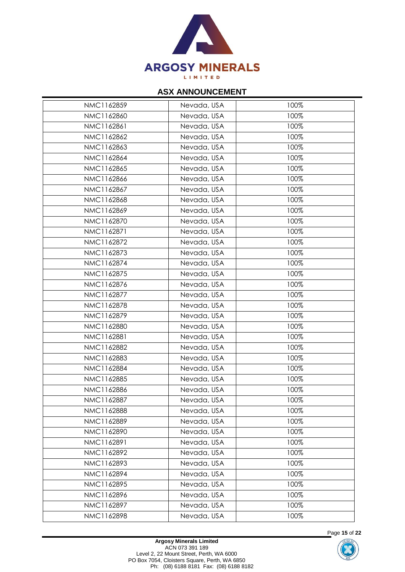

| NMC1162859 | Nevada, USA | 100% |
|------------|-------------|------|
| NMC1162860 | Nevada, USA | 100% |
| NMC1162861 | Nevada, USA | 100% |
| NMC1162862 | Nevada, USA | 100% |
| NMC1162863 | Nevada, USA | 100% |
| NMC1162864 | Nevada, USA | 100% |
| NMC1162865 | Nevada, USA | 100% |
| NMC1162866 | Nevada, USA | 100% |
| NMC1162867 | Nevada, USA | 100% |
| NMC1162868 | Nevada, USA | 100% |
| NMC1162869 | Nevada, USA | 100% |
| NMC1162870 | Nevada, USA | 100% |
| NMC1162871 | Nevada, USA | 100% |
| NMC1162872 | Nevada, USA | 100% |
| NMC1162873 | Nevada, USA | 100% |
| NMC1162874 | Nevada, USA | 100% |
| NMC1162875 | Nevada, USA | 100% |
| NMC1162876 | Nevada, USA | 100% |
| NMC1162877 | Nevada, USA | 100% |
| NMC1162878 | Nevada, USA | 100% |
| NMC1162879 | Nevada, USA | 100% |
| NMC1162880 | Nevada, USA | 100% |
| NMC1162881 | Nevada, USA | 100% |
| NMC1162882 | Nevada, USA | 100% |
| NMC1162883 | Nevada, USA | 100% |
| NMC1162884 | Nevada, USA | 100% |
| NMC1162885 | Nevada, USA | 100% |
| NMC1162886 | Nevada, USA | 100% |
| NMC1162887 | Nevada, USA | 100% |
| NMC1162888 | Nevada, USA | 100% |
| NMC1162889 | Nevada, USA | 100% |
| NMC1162890 | Nevada, USA | 100% |
| NMC1162891 | Nevada, USA | 100% |
| NMC1162892 | Nevada, USA | 100% |
| NMC1162893 | Nevada, USA | 100% |
| NMC1162894 | Nevada, USA | 100% |
| NMC1162895 | Nevada, USA | 100% |
| NMC1162896 | Nevada, USA | 100% |
| NMC1162897 | Nevada, USA | 100% |
| NMC1162898 | Nevada, USA | 100% |
|            |             |      |



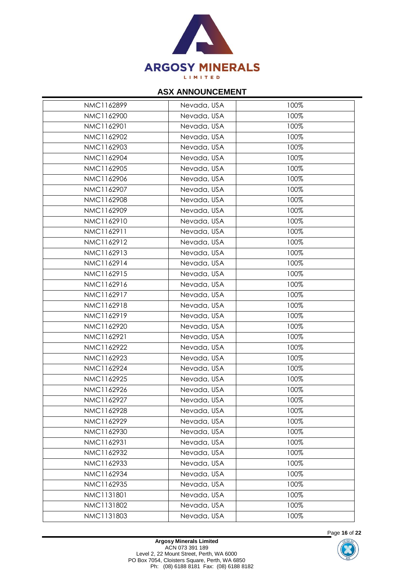

| NMC1162899 | Nevada, USA | 100% |
|------------|-------------|------|
| NMC1162900 | Nevada, USA | 100% |
| NMC1162901 | Nevada, USA | 100% |
| NMC1162902 | Nevada, USA | 100% |
| NMC1162903 | Nevada, USA | 100% |
| NMC1162904 | Nevada, USA | 100% |
| NMC1162905 | Nevada, USA | 100% |
| NMC1162906 | Nevada, USA | 100% |
| NMC1162907 | Nevada, USA | 100% |
| NMC1162908 | Nevada, USA | 100% |
| NMC1162909 | Nevada, USA | 100% |
| NMC1162910 | Nevada, USA | 100% |
| NMC1162911 | Nevada, USA | 100% |
| NMC1162912 | Nevada, USA | 100% |
| NMC1162913 | Nevada, USA | 100% |
| NMC1162914 | Nevada, USA | 100% |
| NMC1162915 | Nevada, USA | 100% |
| NMC1162916 | Nevada, USA | 100% |
| NMC1162917 | Nevada, USA | 100% |
| NMC1162918 | Nevada, USA | 100% |
| NMC1162919 | Nevada, USA | 100% |
| NMC1162920 | Nevada, USA | 100% |
| NMC1162921 | Nevada, USA | 100% |
| NMC1162922 | Nevada, USA | 100% |
| NMC1162923 | Nevada, USA | 100% |
| NMC1162924 | Nevada, USA | 100% |
| NMC1162925 | Nevada, USA | 100% |
| NMC1162926 | Nevada, USA | 100% |
| NMC1162927 | Nevada, USA | 100% |
| NMC1162928 | Nevada, USA | 100% |
| NMC1162929 | Nevada, USA | 100% |
| NMC1162930 | Nevada, USA | 100% |
| NMC1162931 | Nevada, USA | 100% |
| NMC1162932 | Nevada, USA | 100% |
| NMC1162933 | Nevada, USA | 100% |
| NMC1162934 | Nevada, USA | 100% |
| NMC1162935 | Nevada, USA | 100% |
| NMC1131801 | Nevada, USA | 100% |
| NMC1131802 | Nevada, USA | 100% |
| NMC1131803 | Nevada, USA | 100% |
|            |             |      |



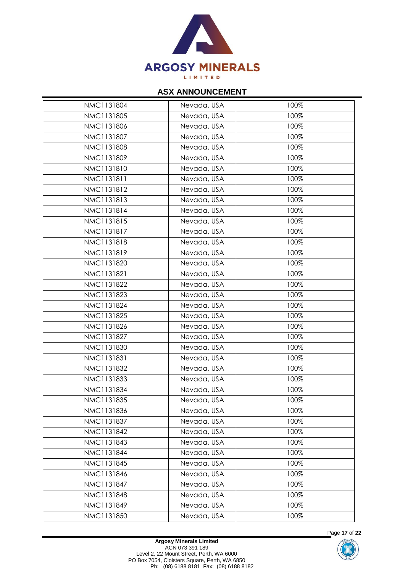

| NMC1131804 | Nevada, USA | 100% |
|------------|-------------|------|
| NMC1131805 | Nevada, USA | 100% |
| NMC1131806 | Nevada, USA | 100% |
| NMC1131807 | Nevada, USA | 100% |
| NMC1131808 | Nevada, USA | 100% |
| NMC1131809 | Nevada, USA | 100% |
| NMC1131810 | Nevada, USA | 100% |
| NMC1131811 | Nevada, USA | 100% |
| NMC1131812 | Nevada, USA | 100% |
| NMC1131813 | Nevada, USA | 100% |
| NMC1131814 | Nevada, USA | 100% |
| NMC1131815 | Nevada, USA | 100% |
| NMC1131817 | Nevada, USA | 100% |
| NMC1131818 | Nevada, USA | 100% |
| NMC1131819 | Nevada, USA | 100% |
| NMC1131820 | Nevada, USA | 100% |
| NMC1131821 | Nevada, USA | 100% |
| NMC1131822 | Nevada, USA | 100% |
| NMC1131823 | Nevada, USA | 100% |
| NMC1131824 | Nevada, USA | 100% |
| NMC1131825 | Nevada, USA | 100% |
| NMC1131826 | Nevada, USA | 100% |
| NMC1131827 | Nevada, USA | 100% |
| NMC1131830 | Nevada, USA | 100% |
| NMC1131831 | Nevada, USA | 100% |
| NMC1131832 | Nevada, USA | 100% |
| NMC1131833 | Nevada, USA | 100% |
| NMC1131834 | Nevada, USA | 100% |
| NMC1131835 | Nevada, USA | 100% |
| NMC1131836 | Nevada, USA | 100% |
| NMC1131837 | Nevada, USA | 100% |
| NMC1131842 | Nevada, USA | 100% |
| NMC1131843 | Nevada, USA | 100% |
| NMC1131844 | Nevada, USA | 100% |
| NMC1131845 | Nevada, USA | 100% |
| NMC1131846 | Nevada, USA | 100% |
| NMC1131847 | Nevada, USA | 100% |
| NMC1131848 | Nevada, USA | 100% |
| NMC1131849 | Nevada, USA | 100% |
| NMC1131850 | Nevada, USA | 100% |
|            |             |      |



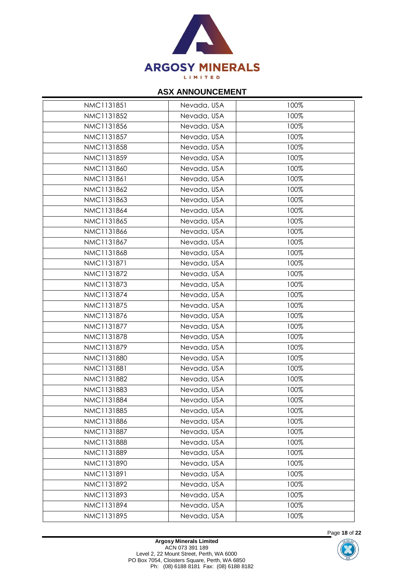

| NMC1131851 | Nevada, USA | 100% |
|------------|-------------|------|
| NMC1131852 | Nevada, USA | 100% |
| NMC1131856 | Nevada, USA | 100% |
| NMC1131857 | Nevada, USA | 100% |
| NMC1131858 | Nevada, USA | 100% |
| NMC1131859 | Nevada, USA | 100% |
| NMC1131860 | Nevada, USA | 100% |
| NMC1131861 | Nevada, USA | 100% |
| NMC1131862 | Nevada, USA | 100% |
| NMC1131863 | Nevada, USA | 100% |
| NMC1131864 | Nevada, USA | 100% |
| NMC1131865 | Nevada, USA | 100% |
| NMC1131866 | Nevada, USA | 100% |
| NMC1131867 | Nevada, USA | 100% |
| NMC1131868 | Nevada, USA | 100% |
| NMC1131871 | Nevada, USA | 100% |
| NMC1131872 | Nevada, USA | 100% |
| NMC1131873 | Nevada, USA | 100% |
| NMC1131874 | Nevada, USA | 100% |
| NMC1131875 | Nevada, USA | 100% |
| NMC1131876 | Nevada, USA | 100% |
| NMC1131877 | Nevada, USA | 100% |
| NMC1131878 | Nevada, USA | 100% |
| NMC1131879 | Nevada, USA | 100% |
| NMC1131880 | Nevada, USA | 100% |
| NMC1131881 | Nevada, USA | 100% |
| NMC1131882 | Nevada, USA | 100% |
| NMC1131883 | Nevada, USA | 100% |
| NMC1131884 | Nevada, USA | 100% |
| NMC1131885 | Nevada, USA | 100% |
| NMC1131886 | Nevada, USA | 100% |
| NMC1131887 | Nevada, USA | 100% |
| NMC1131888 | Nevada, USA | 100% |
| NMC1131889 | Nevada, USA | 100% |
| NMC1131890 | Nevada, USA | 100% |
| NMC1131891 | Nevada, USA | 100% |
| NMC1131892 | Nevada, USA | 100% |
| NMC1131893 | Nevada, USA | 100% |
| NMC1131894 | Nevada, USA | 100% |
| NMC1131895 | Nevada, USA | 100% |



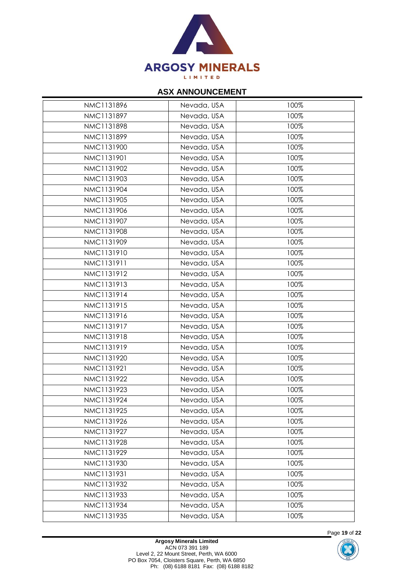

| NMC1131896 | Nevada, USA | 100% |
|------------|-------------|------|
| NMC1131897 | Nevada, USA | 100% |
| NMC1131898 | Nevada, USA | 100% |
| NMC1131899 | Nevada, USA | 100% |
| NMC1131900 | Nevada, USA | 100% |
| NMC1131901 | Nevada, USA | 100% |
| NMC1131902 | Nevada, USA | 100% |
| NMC1131903 | Nevada, USA | 100% |
| NMC1131904 | Nevada, USA | 100% |
| NMC1131905 | Nevada, USA | 100% |
| NMC1131906 | Nevada, USA | 100% |
| NMC1131907 | Nevada, USA | 100% |
| NMC1131908 | Nevada, USA | 100% |
| NMC1131909 | Nevada, USA | 100% |
| NMC1131910 | Nevada, USA | 100% |
| NMC1131911 | Nevada, USA | 100% |
| NMC1131912 | Nevada, USA | 100% |
| NMC1131913 | Nevada, USA | 100% |
| NMC1131914 | Nevada, USA | 100% |
| NMC1131915 | Nevada, USA | 100% |
| NMC1131916 | Nevada, USA | 100% |
| NMC1131917 | Nevada, USA | 100% |
| NMC1131918 | Nevada, USA | 100% |
| NMC1131919 | Nevada, USA | 100% |
| NMC1131920 | Nevada, USA | 100% |
| NMC1131921 | Nevada, USA | 100% |
| NMC1131922 | Nevada, USA | 100% |
| NMC1131923 | Nevada, USA | 100% |
| NMC1131924 | Nevada, USA | 100% |
| NMC1131925 | Nevada, USA | 100% |
| NMC1131926 | Nevada, USA | 100% |
| NMC1131927 | Nevada, USA | 100% |
| NMC1131928 | Nevada, USA | 100% |
| NMC1131929 | Nevada, USA | 100% |
| NMC1131930 | Nevada, USA | 100% |
| NMC1131931 | Nevada, USA | 100% |
| NMC1131932 | Nevada, USA | 100% |
| NMC1131933 | Nevada, USA | 100% |
| NMC1131934 | Nevada, USA | 100% |
| NMC1131935 | Nevada, USA | 100% |
|            |             |      |



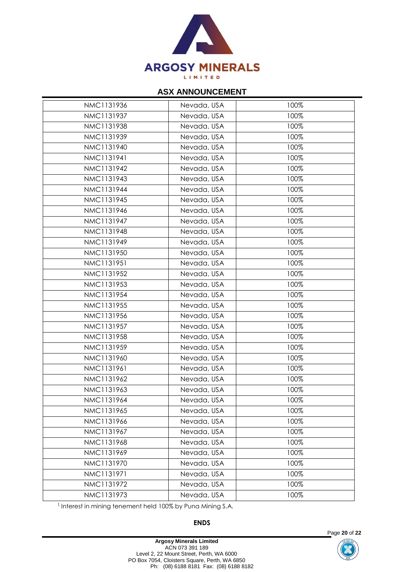

| NMC1131936 | Nevada, USA | 100% |
|------------|-------------|------|
|            |             |      |
| NMC1131937 | Nevada, USA | 100% |
| NMC1131938 | Nevada, USA | 100% |
| NMC1131939 | Nevada, USA | 100% |
| NMC1131940 | Nevada, USA | 100% |
| NMC1131941 | Nevada, USA | 100% |
| NMC1131942 | Nevada, USA | 100% |
| NMC1131943 | Nevada, USA | 100% |
| NMC1131944 | Nevada, USA | 100% |
| NMC1131945 | Nevada, USA | 100% |
| NMC1131946 | Nevada, USA | 100% |
| NMC1131947 | Nevada, USA | 100% |
| NMC1131948 | Nevada, USA | 100% |
| NMC1131949 | Nevada, USA | 100% |
| NMC1131950 | Nevada, USA | 100% |
| NMC1131951 | Nevada, USA | 100% |
| NMC1131952 | Nevada, USA | 100% |
| NMC1131953 | Nevada, USA | 100% |
| NMC1131954 | Nevada, USA | 100% |
| NMC1131955 | Nevada, USA | 100% |
| NMC1131956 | Nevada, USA | 100% |
| NMC1131957 | Nevada, USA | 100% |
| NMC1131958 | Nevada, USA | 100% |
| NMC1131959 | Nevada, USA | 100% |
| NMC1131960 | Nevada, USA | 100% |
| NMC1131961 | Nevada, USA | 100% |
| NMC1131962 | Nevada, USA | 100% |
| NMC1131963 | Nevada, USA | 100% |
| NMC1131964 | Nevada, USA | 100% |
| NMC1131965 | Nevada, USA | 100% |
| NMC1131966 | Nevada, USA | 100% |
| NMC1131967 | Nevada, USA | 100% |
| NMC1131968 | Nevada, USA | 100% |
| NMC1131969 | Nevada, USA | 100% |
| NMC1131970 | Nevada, USA | 100% |
| NMC1131971 | Nevada, USA | 100% |
| NMC1131972 | Nevada, USA | 100% |
| NMC1131973 | Nevada, USA | 100% |
|            |             |      |

<sup>1</sup> Interest in mining tenement held 100% by Puna Mining S.A.

**ENDS**



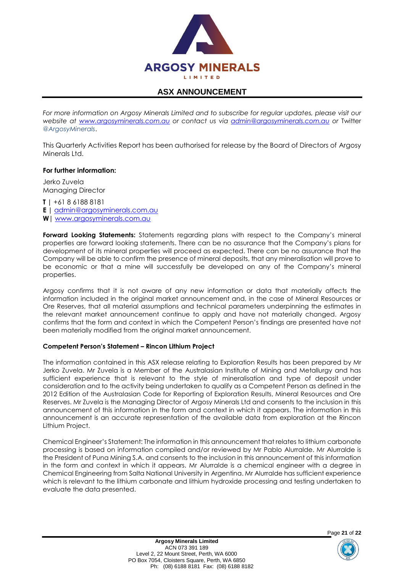

For more information on Argosy Minerals Limited and to subscribe for regular updates, please visit our *website at [www.argosyminerals.com.au](http://www.argosyminerals.com.au/) or contact us via [admin@argosyminerals.com.au](mailto:admin@argosyminerals.com.au) or* Twitter *[@ArgosyMinerals](https://twitter.com/ArgosyMinerals)*.

This Quarterly Activities Report has been authorised for release by the Board of Directors of Argosy Minerals Ltd.

#### **For further information:**

Jerko Zuvela Managing Director

**T |** +61 8 6188 8181

- **E |** [admin@argosyminerals.com.au](mailto:admin@argosyminerals.com.au)
- **W|** [www.argosyminerals.com.au](http://www.argosyminerals.com.au/)

**Forward Looking Statements:** Statements regarding plans with respect to the Company's mineral properties are forward looking statements. There can be no assurance that the Company's plans for development of its mineral properties will proceed as expected. There can be no assurance that the Company will be able to confirm the presence of mineral deposits, that any mineralisation will prove to be economic or that a mine will successfully be developed on any of the Company's mineral properties.

Argosy confirms that it is not aware of any new information or data that materially affects the information included in the original market announcement and, in the case of Mineral Resources or Ore Reserves, that all material assumptions and technical parameters underpinning the estimates in the relevant market announcement continue to apply and have not materially changed. Argosy confirms that the form and context in which the Competent Person's findings are presented have not been materially modified from the original market announcement.

#### **Competent Person's Statement – Rincon Lithium Project**

The information contained in this ASX release relating to Exploration Results has been prepared by Mr Jerko Zuvela. Mr Zuvela is a Member of the Australasian Institute of Mining and Metallurgy and has sufficient experience that is relevant to the style of mineralisation and type of deposit under consideration and to the activity being undertaken to qualify as a Competent Person as defined in the 2012 Edition of the Australasian Code for Reporting of Exploration Results, Mineral Resources and Ore Reserves. Mr Zuvela is the Managing Director of Argosy Minerals Ltd and consents to the inclusion in this announcement of this information in the form and context in which it appears. The information in this announcement is an accurate representation of the available data from exploration at the Rincon Lithium Project.

Chemical Engineer's Statement: The information in this announcement that relates to lithium carbonate processing is based on information compiled and/or reviewed by Mr Pablo Alurralde. Mr Alurralde is the President of Puna Mining S.A. and consents to the inclusion in this announcement of this information in the form and context in which it appears. Mr Alurralde is a chemical engineer with a degree in Chemical Engineering from Salta National University in Argentina. Mr Alurralde has sufficient experience which is relevant to the lithium carbonate and lithium hydroxide processing and testing undertaken to evaluate the data presented.